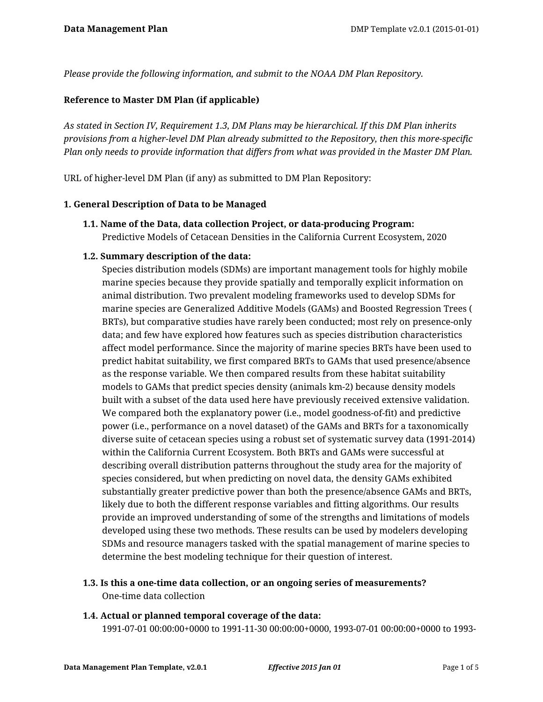*Please provide the following information, and submit to the NOAA DM Plan Repository.*

## **Reference to Master DM Plan (if applicable)**

*As stated in Section IV, Requirement 1.3, DM Plans may be hierarchical. If this DM Plan inherits provisions from a higher-level DM Plan already submitted to the Repository, then this more-specific Plan only needs to provide information that differs from what was provided in the Master DM Plan.*

URL of higher-level DM Plan (if any) as submitted to DM Plan Repository:

#### **1. General Description of Data to be Managed**

**1.1. Name of the Data, data collection Project, or data-producing Program:** Predictive Models of Cetacean Densities in the California Current Ecosystem, 2020

#### **1.2. Summary description of the data:**

Species distribution models (SDMs) are important management tools for highly mobile marine species because they provide spatially and temporally explicit information on animal distribution. Two prevalent modeling frameworks used to develop SDMs for marine species are Generalized Additive Models (GAMs) and Boosted Regression Trees ( BRTs), but comparative studies have rarely been conducted; most rely on presence-only data; and few have explored how features such as species distribution characteristics affect model performance. Since the majority of marine species BRTs have been used to predict habitat suitability, we first compared BRTs to GAMs that used presence/absence as the response variable. We then compared results from these habitat suitability models to GAMs that predict species density (animals km-2) because density models built with a subset of the data used here have previously received extensive validation. We compared both the explanatory power (i.e., model goodness-of-fit) and predictive power (i.e., performance on a novel dataset) of the GAMs and BRTs for a taxonomically diverse suite of cetacean species using a robust set of systematic survey data (1991-2014) within the California Current Ecosystem. Both BRTs and GAMs were successful at describing overall distribution patterns throughout the study area for the majority of species considered, but when predicting on novel data, the density GAMs exhibited substantially greater predictive power than both the presence/absence GAMs and BRTs, likely due to both the different response variables and fitting algorithms. Our results provide an improved understanding of some of the strengths and limitations of models developed using these two methods. These results can be used by modelers developing SDMs and resource managers tasked with the spatial management of marine species to determine the best modeling technique for their question of interest.

# **1.3. Is this a one-time data collection, or an ongoing series of measurements?** One-time data collection

#### **1.4. Actual or planned temporal coverage of the data:**

1991-07-01 00:00:00+0000 to 1991-11-30 00:00:00+0000, 1993-07-01 00:00:00+0000 to 1993-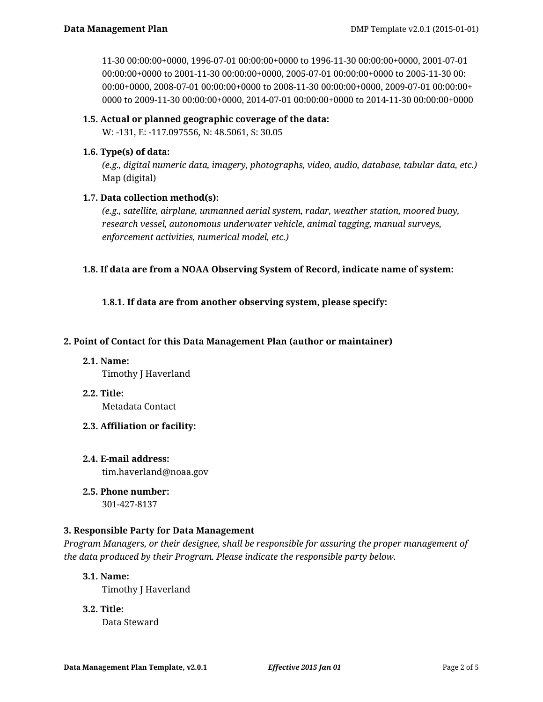11-30 00:00:00+0000, 1996-07-01 00:00:00+0000 to 1996-11-30 00:00:00+0000, 2001-07-01 00:00:00+0000 to 2001-11-30 00:00:00+0000, 2005-07-01 00:00:00+0000 to 2005-11-30 00: 00:00+0000, 2008-07-01 00:00:00+0000 to 2008-11-30 00:00:00+0000, 2009-07-01 00:00:00+ 0000 to 2009-11-30 00:00:00+0000, 2014-07-01 00:00:00+0000 to 2014-11-30 00:00:00+0000

#### **1.5. Actual or planned geographic coverage of the data:**

W: -131, E: -117.097556, N: 48.5061, S: 30.05

## **1.6. Type(s) of data:**

*(e.g., digital numeric data, imagery, photographs, video, audio, database, tabular data, etc.)* Map (digital)

# **1.7. Data collection method(s):**

*(e.g., satellite, airplane, unmanned aerial system, radar, weather station, moored buoy, research vessel, autonomous underwater vehicle, animal tagging, manual surveys, enforcement activities, numerical model, etc.)*

#### **1.8. If data are from a NOAA Observing System of Record, indicate name of system:**

**1.8.1. If data are from another observing system, please specify:**

#### **2. Point of Contact for this Data Management Plan (author or maintainer)**

- **2.1. Name:** Timothy J Haverland
- **2.2. Title:**

Metadata Contact

- **2.3. Affiliation or facility:**
- **2.4. E-mail address:** tim.haverland@noaa.gov
- **2.5. Phone number:**

301-427-8137

# **3. Responsible Party for Data Management**

*Program Managers, or their designee, shall be responsible for assuring the proper management of the data produced by their Program. Please indicate the responsible party below.*

#### **3.1. Name:**

Timothy J Haverland

**3.2. Title:**

Data Steward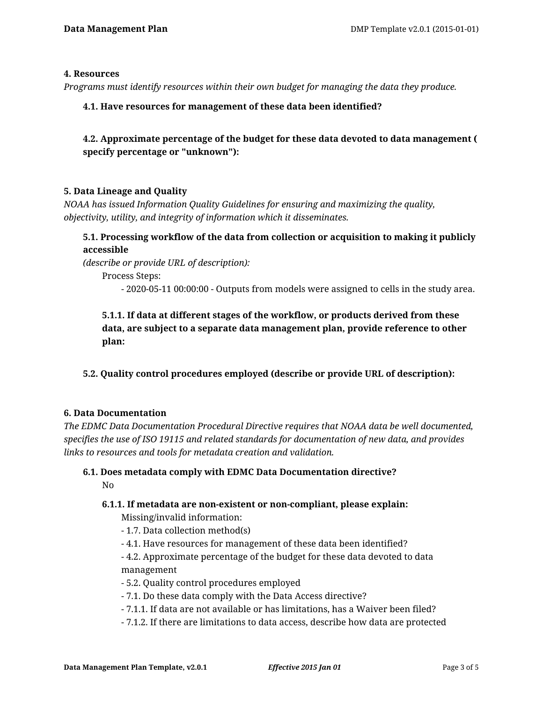#### **4. Resources**

*Programs must identify resources within their own budget for managing the data they produce.*

#### **4.1. Have resources for management of these data been identified?**

**4.2. Approximate percentage of the budget for these data devoted to data management ( specify percentage or "unknown"):**

#### **5. Data Lineage and Quality**

*NOAA has issued Information Quality Guidelines for ensuring and maximizing the quality, objectivity, utility, and integrity of information which it disseminates.*

# **5.1. Processing workflow of the data from collection or acquisition to making it publicly accessible**

*(describe or provide URL of description):*

Process Steps:

- 2020-05-11 00:00:00 - Outputs from models were assigned to cells in the study area.

# **5.1.1. If data at different stages of the workflow, or products derived from these data, are subject to a separate data management plan, provide reference to other plan:**

# **5.2. Quality control procedures employed (describe or provide URL of description):**

#### **6. Data Documentation**

*The EDMC Data Documentation Procedural Directive requires that NOAA data be well documented, specifies the use of ISO 19115 and related standards for documentation of new data, and provides links to resources and tools for metadata creation and validation.*

#### **6.1. Does metadata comply with EDMC Data Documentation directive?** No

#### **6.1.1. If metadata are non-existent or non-compliant, please explain:**

Missing/invalid information:

- 1.7. Data collection method(s)
- 4.1. Have resources for management of these data been identified?
- 4.2. Approximate percentage of the budget for these data devoted to data management
- 5.2. Quality control procedures employed
- 7.1. Do these data comply with the Data Access directive?
- 7.1.1. If data are not available or has limitations, has a Waiver been filed?
- 7.1.2. If there are limitations to data access, describe how data are protected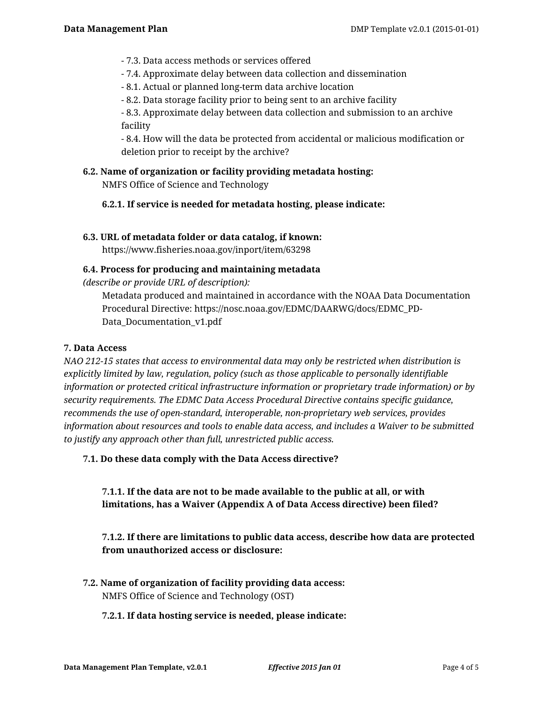- 7.3. Data access methods or services offered
- 7.4. Approximate delay between data collection and dissemination
- 8.1. Actual or planned long-term data archive location
- 8.2. Data storage facility prior to being sent to an archive facility

- 8.3. Approximate delay between data collection and submission to an archive facility

- 8.4. How will the data be protected from accidental or malicious modification or deletion prior to receipt by the archive?

# **6.2. Name of organization or facility providing metadata hosting:**

NMFS Office of Science and Technology

**6.2.1. If service is needed for metadata hosting, please indicate:**

#### **6.3. URL of metadata folder or data catalog, if known:**

https://www.fisheries.noaa.gov/inport/item/63298

#### **6.4. Process for producing and maintaining metadata**

*(describe or provide URL of description):*

Metadata produced and maintained in accordance with the NOAA Data Documentation Procedural Directive: https://nosc.noaa.gov/EDMC/DAARWG/docs/EDMC\_PD-Data\_Documentation\_v1.pdf

## **7. Data Access**

*NAO 212-15 states that access to environmental data may only be restricted when distribution is explicitly limited by law, regulation, policy (such as those applicable to personally identifiable information or protected critical infrastructure information or proprietary trade information) or by security requirements. The EDMC Data Access Procedural Directive contains specific guidance, recommends the use of open-standard, interoperable, non-proprietary web services, provides information about resources and tools to enable data access, and includes a Waiver to be submitted to justify any approach other than full, unrestricted public access.*

**7.1. Do these data comply with the Data Access directive?**

**7.1.1. If the data are not to be made available to the public at all, or with limitations, has a Waiver (Appendix A of Data Access directive) been filed?**

# **7.1.2. If there are limitations to public data access, describe how data are protected from unauthorized access or disclosure:**

**7.2. Name of organization of facility providing data access:** NMFS Office of Science and Technology (OST)

#### **7.2.1. If data hosting service is needed, please indicate:**